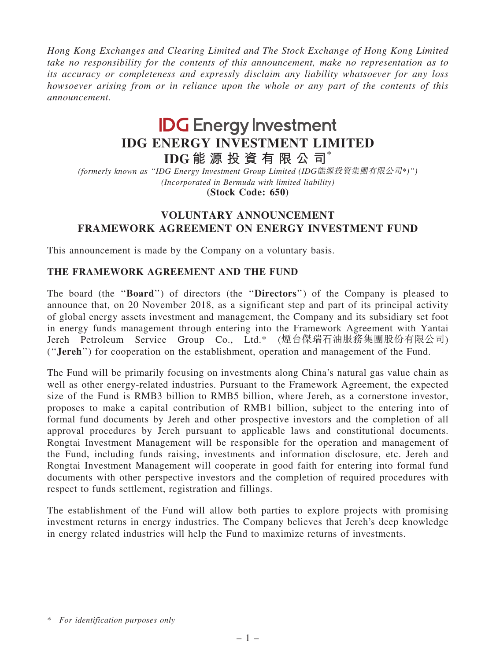Hong Kong Exchanges and Clearing Limited and The Stock Exchange of Hong Kong Limited take no responsibility for the contents of this announcement, make no representation as to its accuracy or completeness and expressly disclaim any liability whatsoever for any loss howsoever arising from or in reliance upon the whole or any part of the contents of this announcement.

# **IDG** Energy Investment IDG ENERGY INVESTMENT LIMITED

IDG 能 源 投 資 有 限 公 司 $*$ 

(formerly known as ''IDG Energy Investment Group Limited (IDG能源投資集團有限公司\*)'') (Incorporated in Bermuda with limited liability) (Stock Code: 650)

## VOLUNTARY ANNOUNCEMENT FRAMEWORK AGREEMENT ON ENERGY INVESTMENT FUND

This announcement is made by the Company on a voluntary basis.

### THE FRAMEWORK AGREEMENT AND THE FUND

The board (the ''Board'') of directors (the ''Directors'') of the Company is pleased to announce that, on 20 November 2018, as a significant step and part of its principal activity of global energy assets investment and management, the Company and its subsidiary set foot in energy funds management through entering into the Framework Agreement with Yantai Jereh Petroleum Service Group Co., Ltd.\* (煙台傑瑞石油服務集團股份有限公司) (''Jereh'') for cooperation on the establishment, operation and management of the Fund.

The Fund will be primarily focusing on investments along China's natural gas value chain as well as other energy-related industries. Pursuant to the Framework Agreement, the expected size of the Fund is RMB3 billion to RMB5 billion, where Jereh, as a cornerstone investor, proposes to make a capital contribution of RMB1 billion, subject to the entering into of formal fund documents by Jereh and other prospective investors and the completion of all approval procedures by Jereh pursuant to applicable laws and constitutional documents. Rongtai Investment Management will be responsible for the operation and management of the Fund, including funds raising, investments and information disclosure, etc. Jereh and Rongtai Investment Management will cooperate in good faith for entering into formal fund documents with other perspective investors and the completion of required procedures with respect to funds settlement, registration and fillings.

The establishment of the Fund will allow both parties to explore projects with promising investment returns in energy industries. The Company believes that Jereh's deep knowledge in energy related industries will help the Fund to maximize returns of investments.

<sup>\*</sup> For identification purposes only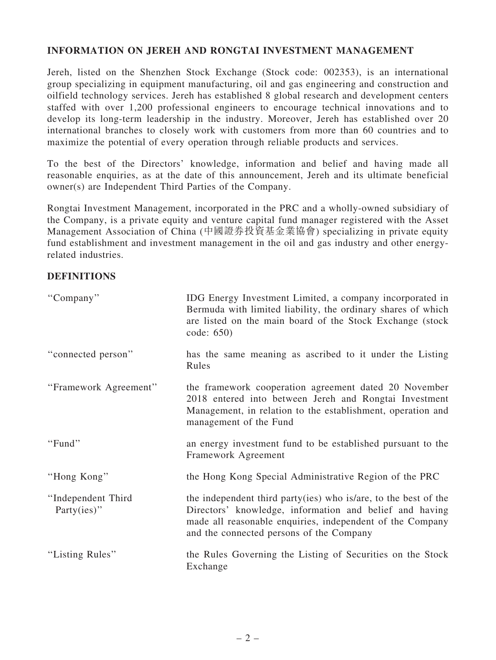#### INFORMATION ON JEREH AND RONGTAI INVESTMENT MANAGEMENT

Jereh, listed on the Shenzhen Stock Exchange (Stock code: 002353), is an international group specializing in equipment manufacturing, oil and gas engineering and construction and oilfield technology services. Jereh has established 8 global research and development centers staffed with over 1,200 professional engineers to encourage technical innovations and to develop its long-term leadership in the industry. Moreover, Jereh has established over 20 international branches to closely work with customers from more than 60 countries and to maximize the potential of every operation through reliable products and services.

To the best of the Directors' knowledge, information and belief and having made all reasonable enquiries, as at the date of this announcement, Jereh and its ultimate beneficial owner(s) are Independent Third Parties of the Company.

Rongtai Investment Management, incorporated in the PRC and a wholly-owned subsidiary of the Company, is a private equity and venture capital fund manager registered with the Asset Management Association of China (中國證券投資基金業協會) specializing in private equity fund establishment and investment management in the oil and gas industry and other energyrelated industries.

#### **DEFINITIONS**

| "Company"                         | IDG Energy Investment Limited, a company incorporated in<br>Bermuda with limited liability, the ordinary shares of which<br>are listed on the main board of the Stock Exchange (stock<br>code: 650)                                 |
|-----------------------------------|-------------------------------------------------------------------------------------------------------------------------------------------------------------------------------------------------------------------------------------|
| "connected person"                | has the same meaning as ascribed to it under the Listing<br>Rules                                                                                                                                                                   |
| "Framework Agreement"             | the framework cooperation agreement dated 20 November<br>2018 entered into between Jereh and Rongtai Investment<br>Management, in relation to the establishment, operation and<br>management of the Fund                            |
| "Fund"                            | an energy investment fund to be established pursuant to the<br>Framework Agreement                                                                                                                                                  |
| "Hong Kong"                       | the Hong Kong Special Administrative Region of the PRC                                                                                                                                                                              |
| "Independent Third<br>Party(ies)" | the independent third party(ies) who is/are, to the best of the<br>Directors' knowledge, information and belief and having<br>made all reasonable enquiries, independent of the Company<br>and the connected persons of the Company |
| "Listing Rules"                   | the Rules Governing the Listing of Securities on the Stock<br>Exchange                                                                                                                                                              |